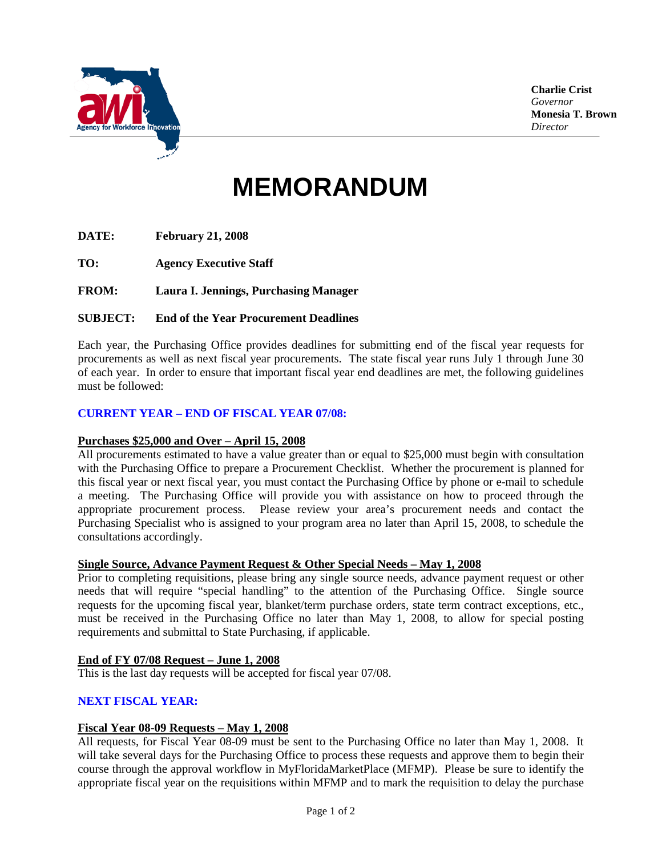

**Charlie Crist** *Governor* **Monesia T. Brown** *Director*

# **MEMORANDUM**

**DATE: February 21, 2008**

**TO: Agency Executive Staff**

**FROM: Laura I. Jennings, Purchasing Manager**

### **SUBJECT: End of the Year Procurement Deadlines**

Each year, the Purchasing Office provides deadlines for submitting end of the fiscal year requests for procurements as well as next fiscal year procurements. The state fiscal year runs July 1 through June 30 of each year. In order to ensure that important fiscal year end deadlines are met, the following guidelines must be followed:

## **CURRENT YEAR – END OF FISCAL YEAR 07/08:**

#### **Purchases \$25,000 and Over – April 15, 2008**

All procurements estimated to have a value greater than or equal to \$25,000 must begin with consultation with the Purchasing Office to prepare a Procurement Checklist. Whether the procurement is planned for this fiscal year or next fiscal year, you must contact the Purchasing Office by phone or e-mail to schedule a meeting. The Purchasing Office will provide you with assistance on how to proceed through the appropriate procurement process. Please review your area's procurement needs and contact the Purchasing Specialist who is assigned to your program area no later than April 15, 2008, to schedule the consultations accordingly.

### **Single Source, Advance Payment Request & Other Special Needs – May 1, 2008**

Prior to completing requisitions, please bring any single source needs, advance payment request or other needs that will require "special handling" to the attention of the Purchasing Office. Single source requests for the upcoming fiscal year, blanket/term purchase orders, state term contract exceptions, etc., must be received in the Purchasing Office no later than May 1, 2008, to allow for special posting requirements and submittal to State Purchasing, if applicable.

## **End of FY 07/08 Request – June 1, 2008**

This is the last day requests will be accepted for fiscal year 07/08.

### **NEXT FISCAL YEAR:**

### **Fiscal Year 08-09 Requests – May 1, 2008**

All requests, for Fiscal Year 08-09 must be sent to the Purchasing Office no later than May 1, 2008. It will take several days for the Purchasing Office to process these requests and approve them to begin their course through the approval workflow in MyFloridaMarketPlace (MFMP). Please be sure to identify the appropriate fiscal year on the requisitions within MFMP and to mark the requisition to delay the purchase